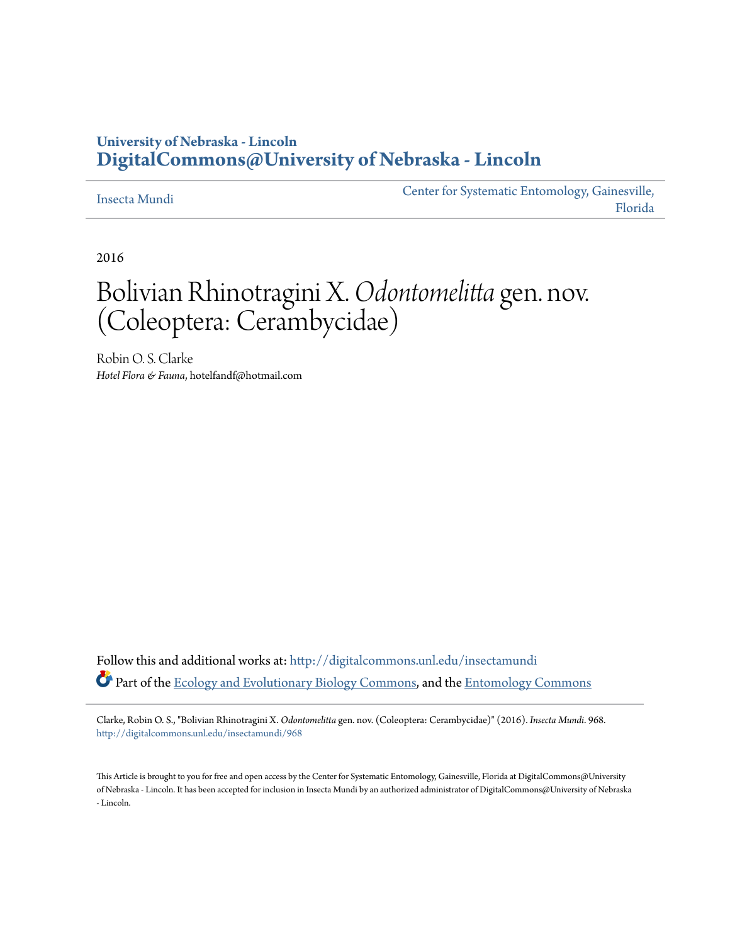## **University of Nebraska - Lincoln [DigitalCommons@University of Nebraska - Lincoln](http://digitalcommons.unl.edu?utm_source=digitalcommons.unl.edu%2Finsectamundi%2F968&utm_medium=PDF&utm_campaign=PDFCoverPages)**

#### [Insecta Mundi](http://digitalcommons.unl.edu/insectamundi?utm_source=digitalcommons.unl.edu%2Finsectamundi%2F968&utm_medium=PDF&utm_campaign=PDFCoverPages)

[Center for Systematic Entomology, Gainesville,](http://digitalcommons.unl.edu/centersystematicentomology?utm_source=digitalcommons.unl.edu%2Finsectamundi%2F968&utm_medium=PDF&utm_campaign=PDFCoverPages) [Florida](http://digitalcommons.unl.edu/centersystematicentomology?utm_source=digitalcommons.unl.edu%2Finsectamundi%2F968&utm_medium=PDF&utm_campaign=PDFCoverPages)

2016

# Bolivian Rhinotragini X.*Odontomelitta*gen. nov. (Coleoptera: Cerambycidae)

Robin O. S. Clarke *Hotel Flora & Fauna*, hotelfandf@hotmail.com

Follow this and additional works at: [http://digitalcommons.unl.edu/insectamundi](http://digitalcommons.unl.edu/insectamundi?utm_source=digitalcommons.unl.edu%2Finsectamundi%2F968&utm_medium=PDF&utm_campaign=PDFCoverPages) Part of the [Ecology and Evolutionary Biology Commons](http://network.bepress.com/hgg/discipline/14?utm_source=digitalcommons.unl.edu%2Finsectamundi%2F968&utm_medium=PDF&utm_campaign=PDFCoverPages), and the [Entomology Commons](http://network.bepress.com/hgg/discipline/83?utm_source=digitalcommons.unl.edu%2Finsectamundi%2F968&utm_medium=PDF&utm_campaign=PDFCoverPages)

Clarke, Robin O. S., "Bolivian Rhinotragini X. *Odontomelitta* gen. nov. (Coleoptera: Cerambycidae)" (2016). *Insecta Mundi*. 968. [http://digitalcommons.unl.edu/insectamundi/968](http://digitalcommons.unl.edu/insectamundi/968?utm_source=digitalcommons.unl.edu%2Finsectamundi%2F968&utm_medium=PDF&utm_campaign=PDFCoverPages)

This Article is brought to you for free and open access by the Center for Systematic Entomology, Gainesville, Florida at DigitalCommons@University of Nebraska - Lincoln. It has been accepted for inclusion in Insecta Mundi by an authorized administrator of DigitalCommons@University of Nebraska - Lincoln.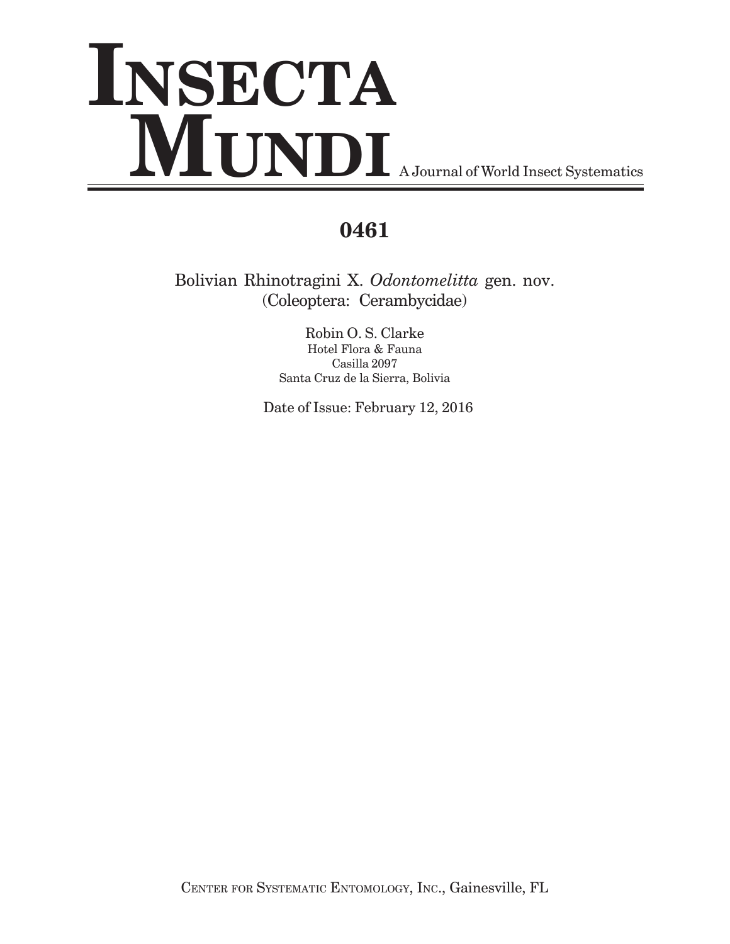# **INSECTA MUNDI** A Journal of World Insect Systematics

## **0461**

Bolivian Rhinotragini X. *Odontomelitta* gen. nov. (Coleoptera: Cerambycidae)

> Robin O. S. Clarke Hotel Flora & Fauna Casilla 2097 Santa Cruz de la Sierra, Bolivia

Date of Issue: February 12, 2016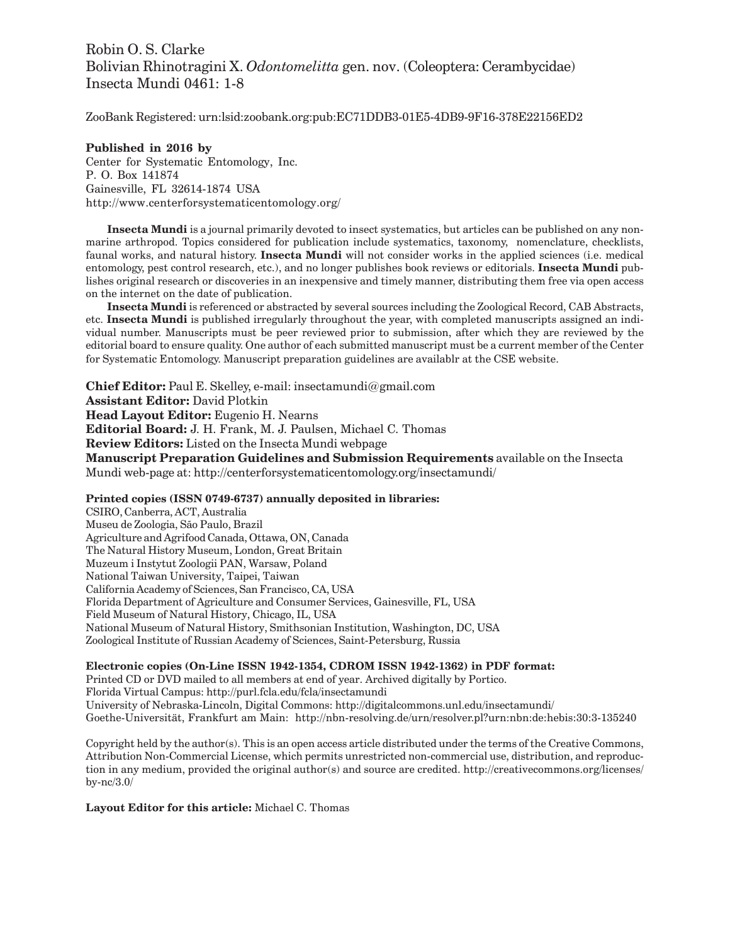### Robin O. S. Clarke Bolivian Rhinotragini X. *Odontomelitta* gen. nov. (Coleoptera: Cerambycidae) Insecta Mundi 0461: 1-8

ZooBank Registered: urn:lsid:zoobank.org:pub:EC71DDB3-01E5-4DB9-9F16-378E22156ED2

#### **Published in 2016 by**

Center for Systematic Entomology, Inc. P. O. Box 141874 Gainesville, FL 32614-1874 USA http://www.centerforsystematicentomology.org/

**Insecta Mundi** is a journal primarily devoted to insect systematics, but articles can be published on any nonmarine arthropod. Topics considered for publication include systematics, taxonomy, nomenclature, checklists, faunal works, and natural history. **Insecta Mundi** will not consider works in the applied sciences (i.e. medical entomology, pest control research, etc.), and no longer publishes book reviews or editorials. **Insecta Mundi** publishes original research or discoveries in an inexpensive and timely manner, distributing them free via open access on the internet on the date of publication.

**Insecta Mundi** is referenced or abstracted by several sources including the Zoological Record, CAB Abstracts, etc. **Insecta Mundi** is published irregularly throughout the year, with completed manuscripts assigned an individual number. Manuscripts must be peer reviewed prior to submission, after which they are reviewed by the editorial board to ensure quality. One author of each submitted manuscript must be a current member of the Center for Systematic Entomology. Manuscript preparation guidelines are availablr at the CSE website.

**Chief Editor:** Paul E. Skelley, e-mail: insectamundi@gmail.com **Assistant Editor:** David Plotkin **Head Layout Editor:** Eugenio H. Nearns **Editorial Board:** J. H. Frank, M. J. Paulsen, Michael C. Thomas **Review Editors:** Listed on the Insecta Mundi webpage **Manuscript Preparation Guidelines and Submission Requirements** available on the Insecta Mundi web-page at: http://centerforsystematicentomology.org/insectamundi/

#### **Printed copies (ISSN 0749-6737) annually deposited in libraries:**

CSIRO, Canberra, ACT, Australia Museu de Zoologia, São Paulo, Brazil Agriculture and Agrifood Canada, Ottawa, ON, Canada The Natural History Museum, London, Great Britain Muzeum i Instytut Zoologii PAN, Warsaw, Poland National Taiwan University, Taipei, Taiwan California Academy of Sciences, San Francisco, CA, USA Florida Department of Agriculture and Consumer Services, Gainesville, FL, USA Field Museum of Natural History, Chicago, IL, USA National Museum of Natural History, Smithsonian Institution, Washington, DC, USA Zoological Institute of Russian Academy of Sciences, Saint-Petersburg, Russia

#### **Electronic copies (On-Line ISSN 1942-1354, CDROM ISSN 1942-1362) in PDF format:**

Printed CD or DVD mailed to all members at end of year. Archived digitally by Portico. Florida Virtual Campus: http://purl.fcla.edu/fcla/insectamundi University of Nebraska-Lincoln, Digital Commons: http://digitalcommons.unl.edu/insectamundi/ Goethe-Universität, Frankfurt am Main: http://nbn-resolving.de/urn/resolver.pl?urn:nbn:de:hebis:30:3-135240

Copyright held by the author(s). This is an open access article distributed under the terms of the Creative Commons, Attribution Non-Commercial License, which permits unrestricted non-commercial use, distribution, and reproduction in any medium, provided the original author(s) and source are credited. http://creativecommons.org/licenses/ by-nc/3.0/

**Layout Editor for this article:** Michael C. Thomas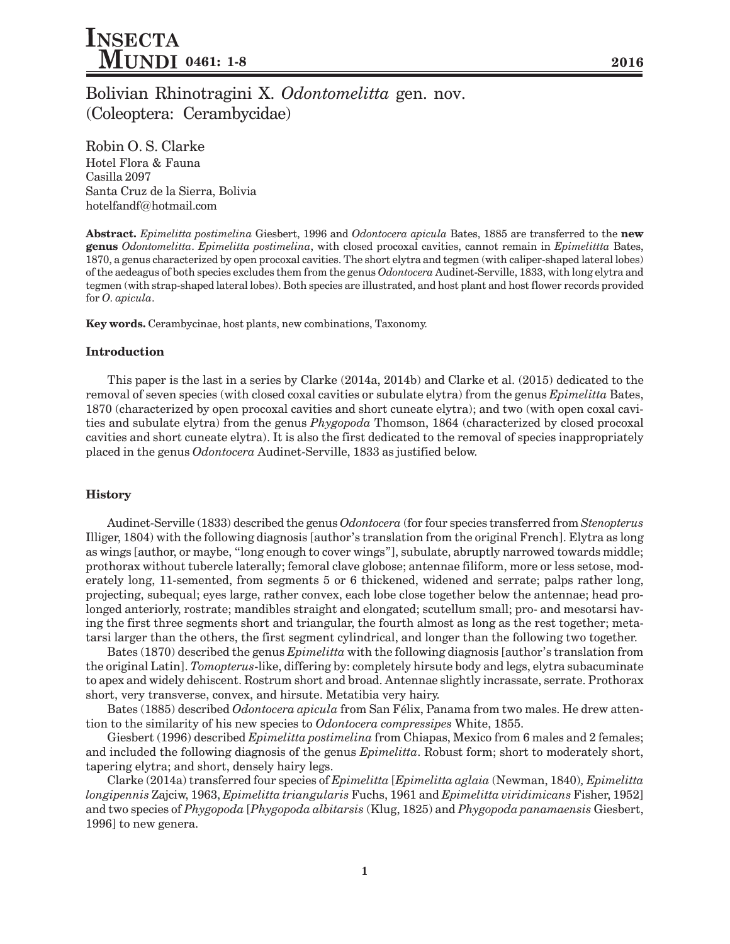Robin O. S. Clarke Hotel Flora & Fauna Casilla 2097 Santa Cruz de la Sierra, Bolivia hotelfandf@hotmail.com

**Abstract.** *Epimelitta postimelina* Giesbert, 1996 and *Odontocera apicula* Bates, 1885 are transferred to the **new genus** *Odontomelitta*. *Epimelitta postimelina*, with closed procoxal cavities, cannot remain in *Epimelittta* Bates, 1870, a genus characterized by open procoxal cavities. The short elytra and tegmen (with caliper-shaped lateral lobes) of the aedeagus of both species excludes them from the genus *Odontocera* Audinet-Serville, 1833, with long elytra and tegmen (with strap-shaped lateral lobes). Both species are illustrated, and host plant and host flower records provided for *O. apicula*.

**Key words.** Cerambycinae, host plants, new combinations, Taxonomy.

#### **Introduction**

This paper is the last in a series by Clarke (2014a, 2014b) and Clarke et al. (2015) dedicated to the removal of seven species (with closed coxal cavities or subulate elytra) from the genus *Epimelitta* Bates, 1870 (characterized by open procoxal cavities and short cuneate elytra); and two (with open coxal cavities and subulate elytra) from the genus *Phygopoda* Thomson, 1864 (characterized by closed procoxal cavities and short cuneate elytra). It is also the first dedicated to the removal of species inappropriately placed in the genus *Odontocera* Audinet-Serville, 1833 as justified below.

#### **History**

Audinet-Serville (1833) described the genus *Odontocera* (for four species transferred from *Stenopterus* Illiger, 1804) with the following diagnosis [author's translation from the original French]. Elytra as long as wings [author, or maybe, "long enough to cover wings"], subulate, abruptly narrowed towards middle; prothorax without tubercle laterally; femoral clave globose; antennae filiform, more or less setose, moderately long, 11-semented, from segments 5 or 6 thickened, widened and serrate; palps rather long, projecting, subequal; eyes large, rather convex, each lobe close together below the antennae; head prolonged anteriorly, rostrate; mandibles straight and elongated; scutellum small; pro- and mesotarsi having the first three segments short and triangular, the fourth almost as long as the rest together; metatarsi larger than the others, the first segment cylindrical, and longer than the following two together.

Bates (1870) described the genus *Epimelitta* with the following diagnosis [author's translation from the original Latin]. *Tomopterus*-like, differing by: completely hirsute body and legs, elytra subacuminate to apex and widely dehiscent. Rostrum short and broad. Antennae slightly incrassate, serrate. Prothorax short, very transverse, convex, and hirsute. Metatibia very hairy.

Bates (1885) described *Odontocera apicula* from San Félix, Panama from two males. He drew attention to the similarity of his new species to *Odontocera compressipes* White, 1855.

Giesbert (1996) described *Epimelitta postimelina* from Chiapas, Mexico from 6 males and 2 females; and included the following diagnosis of the genus *Epimelitta*. Robust form; short to moderately short, tapering elytra; and short, densely hairy legs.

Clarke (2014a) transferred four species of *Epimelitta* [*Epimelitta aglaia* (Newman, 1840)*, Epimelitta longipennis* Zajciw, 1963, *Epimelitta triangularis* Fuchs, 1961 and *Epimelitta viridimicans* Fisher, 1952] and two species of *Phygopoda* [*Phygopoda albitarsis* (Klug, 1825) and *Phygopoda panamaensis* Giesbert, 1996] to new genera.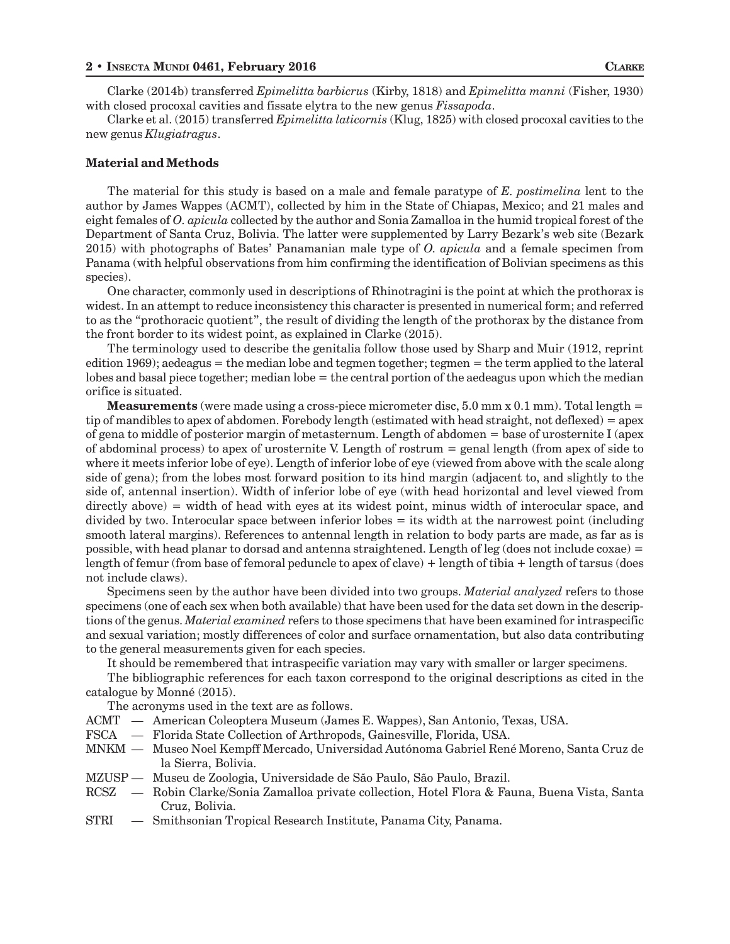Clarke (2014b) transferred *Epimelitta barbicrus* (Kirby, 1818) and *Epimelitta manni* (Fisher, 1930) with closed procoxal cavities and fissate elytra to the new genus *Fissapoda*.

Clarke et al. (2015) transferred *Epimelitta laticornis* (Klug, 1825) with closed procoxal cavities to the new genus *Klugiatragus*.

#### **Material and Methods**

The material for this study is based on a male and female paratype of *E. postimelina* lent to the author by James Wappes (ACMT), collected by him in the State of Chiapas, Mexico; and 21 males and eight females of *O. apicula* collected by the author and Sonia Zamalloa in the humid tropical forest of the Department of Santa Cruz, Bolivia. The latter were supplemented by Larry Bezark's web site (Bezark 2015) with photographs of Bates' Panamanian male type of *O. apicula* and a female specimen from Panama (with helpful observations from him confirming the identification of Bolivian specimens as this species).

One character, commonly used in descriptions of Rhinotragini is the point at which the prothorax is widest. In an attempt to reduce inconsistency this character is presented in numerical form; and referred to as the "prothoracic quotient", the result of dividing the length of the prothorax by the distance from the front border to its widest point, as explained in Clarke (2015).

The terminology used to describe the genitalia follow those used by Sharp and Muir (1912, reprint edition 1969); aedeagus = the median lobe and tegmen together; tegmen = the term applied to the lateral lobes and basal piece together; median lobe = the central portion of the aedeagus upon which the median orifice is situated.

**Measurements** (were made using a cross-piece micrometer disc,  $5.0 \text{ mm} \times 0.1 \text{ mm}$ ). Total length  $=$ tip of mandibles to apex of abdomen. Forebody length (estimated with head straight, not deflexed) = apex of gena to middle of posterior margin of metasternum. Length of abdomen = base of urosternite I (apex of abdominal process) to apex of urosternite V. Length of rostrum = genal length (from apex of side to where it meets inferior lobe of eye). Length of inferior lobe of eye (viewed from above with the scale along side of gena); from the lobes most forward position to its hind margin (adjacent to, and slightly to the side of, antennal insertion). Width of inferior lobe of eye (with head horizontal and level viewed from directly above) = width of head with eyes at its widest point, minus width of interocular space, and divided by two. Interocular space between inferior lobes = its width at the narrowest point (including smooth lateral margins). References to antennal length in relation to body parts are made, as far as is possible, with head planar to dorsad and antenna straightened. Length of leg (does not include coxae) = length of femur (from base of femoral peduncle to apex of clave) + length of tibia + length of tarsus (does not include claws).

Specimens seen by the author have been divided into two groups. *Material analyzed* refers to those specimens (one of each sex when both available) that have been used for the data set down in the descriptions of the genus. *Material examined* refers to those specimens that have been examined for intraspecific and sexual variation; mostly differences of color and surface ornamentation, but also data contributing to the general measurements given for each species.

It should be remembered that intraspecific variation may vary with smaller or larger specimens.

The bibliographic references for each taxon correspond to the original descriptions as cited in the catalogue by Monné (2015).

The acronyms used in the text are as follows.

- ACMT American Coleoptera Museum (James E. Wappes), San Antonio, Texas, USA.
- FSCA Florida State Collection of Arthropods, Gainesville, Florida, USA.
- MNKM Museo Noel Kempff Mercado, Universidad Autónoma Gabriel René Moreno, Santa Cruz de la Sierra, Bolivia.
- MZUSP Museu de Zoologia, Universidade de São Paulo, São Paulo, Brazil.
- RCSZ Robin Clarke/Sonia Zamalloa private collection, Hotel Flora & Fauna, Buena Vista, Santa Cruz, Bolivia.
- STRI Smithsonian Tropical Research Institute, Panama City, Panama.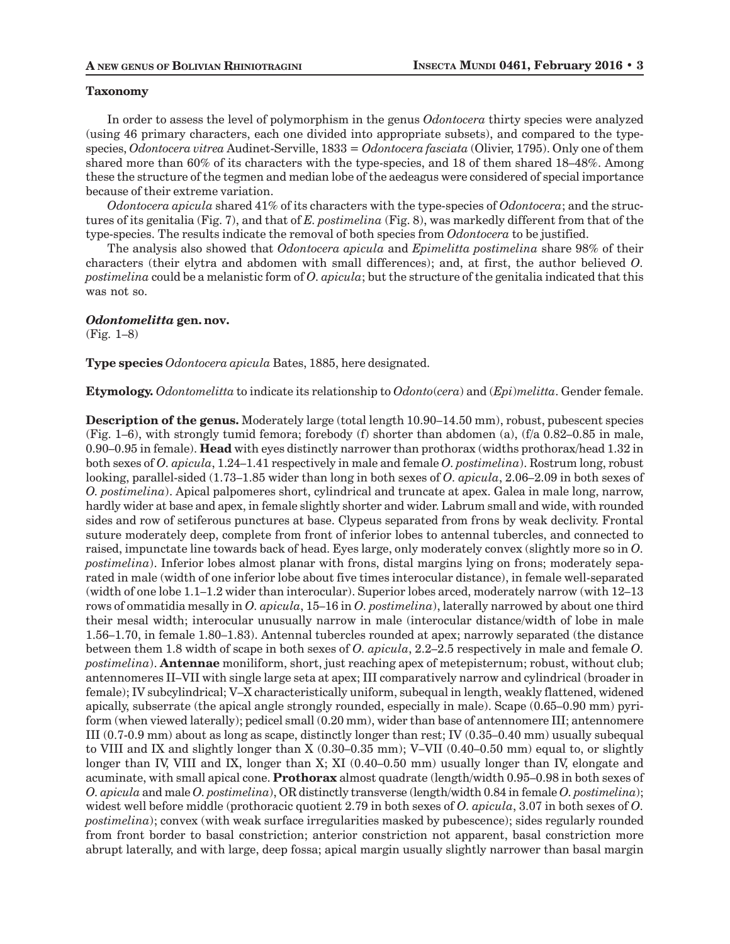#### **Taxonomy**

In order to assess the level of polymorphism in the genus *Odontocera* thirty species were analyzed (using 46 primary characters, each one divided into appropriate subsets), and compared to the typespecies, *Odontocera vitrea* Audinet-Serville, 1833 = *Odontocera fasciata* (Olivier, 1795). Only one of them shared more than 60% of its characters with the type-species, and 18 of them shared 18–48%. Among these the structure of the tegmen and median lobe of the aedeagus were considered of special importance because of their extreme variation.

*Odontocera apicula* shared 41% of its characters with the type-species of *Odontocera*; and the structures of its genitalia (Fig. 7), and that of *E. postimelina* (Fig. 8), was markedly different from that of the type-species. The results indicate the removal of both species from *Odontocera* to be justified.

The analysis also showed that *Odontocera apicula* and *Epimelitta postimelina* share 98% of their characters (their elytra and abdomen with small differences); and, at first, the author believed *O. postimelina* could be a melanistic form of *O. apicula*; but the structure of the genitalia indicated that this was not so.

#### *Odontomelitta* **gen. nov.**

(Fig. 1–8)

**Type species** *Odontocera apicula* Bates, 1885, here designated.

**Etymology.** *Odontomelitta* to indicate its relationship to *Odonto*(*cera*) and (*Epi*)*melitta*. Gender female.

**Description of the genus.** Moderately large (total length 10.90–14.50 mm), robust, pubescent species (Fig. 1–6), with strongly tumid femora; forebody (f) shorter than abdomen (a), (f/a 0.82–0.85 in male, 0.90–0.95 in female). **Head** with eyes distinctly narrower than prothorax (widths prothorax/head 1.32 in both sexes of *O. apicula*, 1.24–1.41 respectively in male and female *O. postimelina*). Rostrum long, robust looking, parallel-sided (1.73–1.85 wider than long in both sexes of *O. apicula*, 2.06–2.09 in both sexes of *O. postimelina*). Apical palpomeres short, cylindrical and truncate at apex. Galea in male long, narrow, hardly wider at base and apex, in female slightly shorter and wider. Labrum small and wide, with rounded sides and row of setiferous punctures at base. Clypeus separated from frons by weak declivity. Frontal suture moderately deep, complete from front of inferior lobes to antennal tubercles, and connected to raised, impunctate line towards back of head. Eyes large, only moderately convex (slightly more so in *O. postimelina*). Inferior lobes almost planar with frons, distal margins lying on frons; moderately separated in male (width of one inferior lobe about five times interocular distance), in female well-separated (width of one lobe 1.1–1.2 wider than interocular). Superior lobes arced, moderately narrow (with 12–13 rows of ommatidia mesally in *O. apicula*, 15–16 in *O. postimelina*), laterally narrowed by about one third their mesal width; interocular unusually narrow in male (interocular distance/width of lobe in male 1.56–1.70, in female 1.80–1.83). Antennal tubercles rounded at apex; narrowly separated (the distance between them 1.8 width of scape in both sexes of *O. apicula*, 2.2–2.5 respectively in male and female *O. postimelina*). **Antennae** moniliform, short, just reaching apex of metepisternum; robust, without club; antennomeres II–VII with single large seta at apex; III comparatively narrow and cylindrical (broader in female); IV subcylindrical; V–X characteristically uniform, subequal in length, weakly flattened, widened apically, subserrate (the apical angle strongly rounded, especially in male). Scape (0.65–0.90 mm) pyriform (when viewed laterally); pedicel small (0.20 mm), wider than base of antennomere III; antennomere III (0.7-0.9 mm) about as long as scape, distinctly longer than rest; IV (0.35–0.40 mm) usually subequal to VIII and IX and slightly longer than X (0.30–0.35 mm); V–VII (0.40–0.50 mm) equal to, or slightly longer than IV, VIII and IX, longer than X; XI (0.40–0.50 mm) usually longer than IV, elongate and acuminate, with small apical cone. **Prothorax** almost quadrate (length/width 0.95–0.98 in both sexes of *O. apicula* and male *O. postimelina*), OR distinctly transverse (length/width 0.84 in female *O. postimelina*); widest well before middle (prothoracic quotient 2.79 in both sexes of *O. apicula*, 3.07 in both sexes of *O. postimelina*); convex (with weak surface irregularities masked by pubescence); sides regularly rounded from front border to basal constriction; anterior constriction not apparent, basal constriction more abrupt laterally, and with large, deep fossa; apical margin usually slightly narrower than basal margin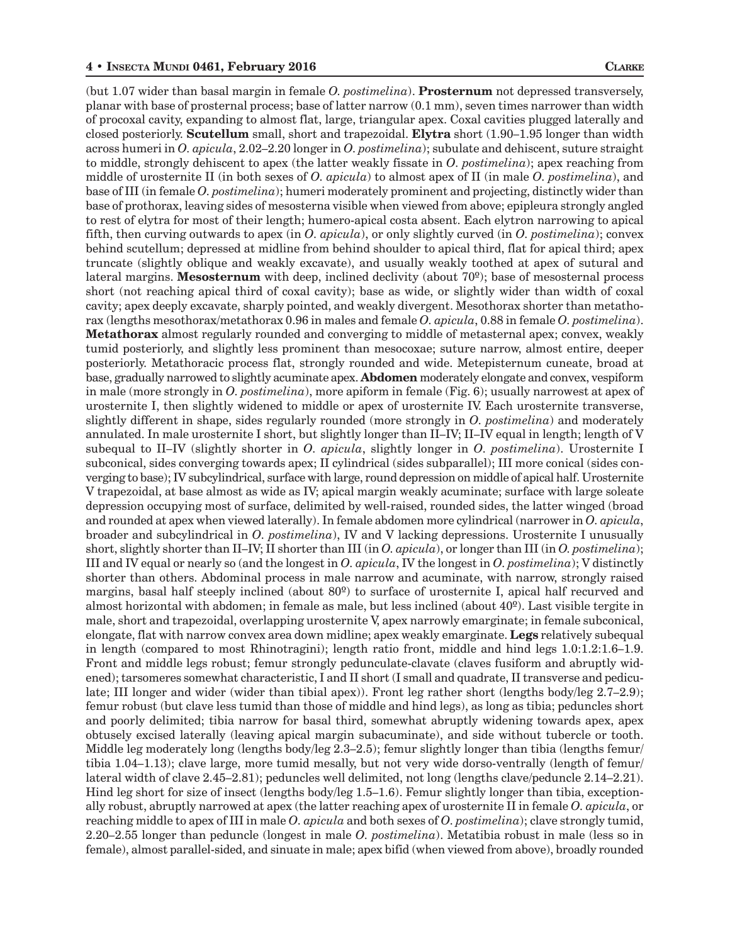(but 1.07 wider than basal margin in female *O. postimelina*). **Prosternum** not depressed transversely, planar with base of prosternal process; base of latter narrow (0.1 mm), seven times narrower than width of procoxal cavity, expanding to almost flat, large, triangular apex. Coxal cavities plugged laterally and closed posteriorly. **Scutellum** small, short and trapezoidal. **Elytra** short (1.90–1.95 longer than width across humeri in *O. apicula*, 2.02–2.20 longer in *O. postimelina*); subulate and dehiscent, suture straight to middle, strongly dehiscent to apex (the latter weakly fissate in *O. postimelina*); apex reaching from middle of urosternite II (in both sexes of *O. apicula*) to almost apex of II (in male *O. postimelina*), and base of III (in female *O. postimelina*); humeri moderately prominent and projecting, distinctly wider than base of prothorax, leaving sides of mesosterna visible when viewed from above; epipleura strongly angled to rest of elytra for most of their length; humero-apical costa absent. Each elytron narrowing to apical fifth, then curving outwards to apex (in *O. apicula*), or only slightly curved (in *O. postimelina*); convex behind scutellum; depressed at midline from behind shoulder to apical third, flat for apical third; apex truncate (slightly oblique and weakly excavate), and usually weakly toothed at apex of sutural and lateral margins. **Mesosternum** with deep, inclined declivity (about 70º); base of mesosternal process short (not reaching apical third of coxal cavity); base as wide, or slightly wider than width of coxal cavity; apex deeply excavate, sharply pointed, and weakly divergent. Mesothorax shorter than metathorax (lengths mesothorax/metathorax 0.96 in males and female *O. apicula*, 0.88 in female *O. postimelina*). **Metathorax** almost regularly rounded and converging to middle of metasternal apex; convex, weakly tumid posteriorly, and slightly less prominent than mesocoxae; suture narrow, almost entire, deeper posteriorly. Metathoracic process flat, strongly rounded and wide. Metepisternum cuneate, broad at base, gradually narrowed to slightly acuminate apex. **Abdomen** moderately elongate and convex, vespiform in male (more strongly in *O. postimelina*), more apiform in female (Fig. 6); usually narrowest at apex of urosternite I, then slightly widened to middle or apex of urosternite IV. Each urosternite transverse, slightly different in shape, sides regularly rounded (more strongly in *O. postimelina*) and moderately annulated. In male urosternite I short, but slightly longer than II–IV; II–IV equal in length; length of V subequal to II–IV (slightly shorter in *O. apicula*, slightly longer in *O. postimelina*). Urosternite I subconical, sides converging towards apex; II cylindrical (sides subparallel); III more conical (sides converging to base); IV subcylindrical, surface with large, round depression on middle of apical half. Urosternite V trapezoidal, at base almost as wide as IV; apical margin weakly acuminate; surface with large soleate depression occupying most of surface, delimited by well-raised, rounded sides, the latter winged (broad and rounded at apex when viewed laterally). In female abdomen more cylindrical (narrower in *O. apicula*, broader and subcylindrical in *O. postimelina*), IV and V lacking depressions. Urosternite I unusually short, slightly shorter than II–IV; II shorter than III (in *O. apicula*), or longer than III (in *O. postimelina*); III and IV equal or nearly so (and the longest in *O. apicula*, IV the longest in *O. postimelina*); V distinctly shorter than others. Abdominal process in male narrow and acuminate, with narrow, strongly raised margins, basal half steeply inclined (about 80<sup>o</sup>) to surface of urosternite I, apical half recurved and almost horizontal with abdomen; in female as male, but less inclined (about 40º). Last visible tergite in male, short and trapezoidal, overlapping urosternite V, apex narrowly emarginate; in female subconical, elongate, flat with narrow convex area down midline; apex weakly emarginate. **Legs** relatively subequal in length (compared to most Rhinotragini); length ratio front, middle and hind legs 1.0:1.2:1.6–1.9. Front and middle legs robust; femur strongly pedunculate-clavate (claves fusiform and abruptly widened); tarsomeres somewhat characteristic, I and II short (I small and quadrate, II transverse and pediculate; III longer and wider (wider than tibial apex)). Front leg rather short (lengths body/leg 2.7–2.9); femur robust (but clave less tumid than those of middle and hind legs), as long as tibia; peduncles short and poorly delimited; tibia narrow for basal third, somewhat abruptly widening towards apex, apex obtusely excised laterally (leaving apical margin subacuminate), and side without tubercle or tooth. Middle leg moderately long (lengths body/leg 2.3–2.5); femur slightly longer than tibia (lengths femur/ tibia 1.04–1.13); clave large, more tumid mesally, but not very wide dorso-ventrally (length of femur/ lateral width of clave 2.45–2.81); peduncles well delimited, not long (lengths clave/peduncle 2.14–2.21). Hind leg short for size of insect (lengths body/leg 1.5–1.6). Femur slightly longer than tibia, exceptionally robust, abruptly narrowed at apex (the latter reaching apex of urosternite II in female *O. apicula*, or reaching middle to apex of III in male *O. apicula* and both sexes of *O. postimelina*); clave strongly tumid, 2.20–2.55 longer than peduncle (longest in male *O. postimelina*). Metatibia robust in male (less so in female), almost parallel-sided, and sinuate in male; apex bifid (when viewed from above), broadly rounded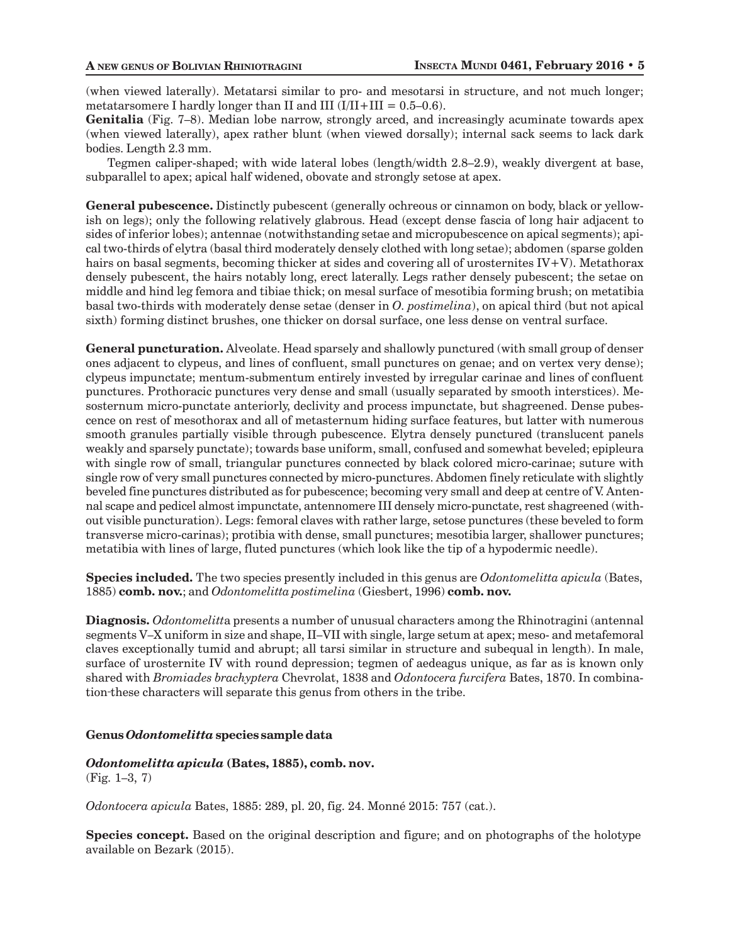(when viewed laterally). Metatarsi similar to pro- and mesotarsi in structure, and not much longer; metatarsomere I hardly longer than II and III  $(I/II+III = 0.5-0.6)$ .

**Genitalia** (Fig. 7–8). Median lobe narrow, strongly arced, and increasingly acuminate towards apex (when viewed laterally), apex rather blunt (when viewed dorsally); internal sack seems to lack dark bodies. Length 2.3 mm.

Tegmen caliper-shaped; with wide lateral lobes (length/width 2.8–2.9), weakly divergent at base, subparallel to apex; apical half widened, obovate and strongly setose at apex.

**General pubescence.** Distinctly pubescent (generally ochreous or cinnamon on body, black or yellowish on legs); only the following relatively glabrous. Head (except dense fascia of long hair adjacent to sides of inferior lobes); antennae (notwithstanding setae and micropubescence on apical segments); apical two-thirds of elytra (basal third moderately densely clothed with long setae); abdomen (sparse golden hairs on basal segments, becoming thicker at sides and covering all of urosternites IV+V). Metathorax densely pubescent, the hairs notably long, erect laterally. Legs rather densely pubescent; the setae on middle and hind leg femora and tibiae thick; on mesal surface of mesotibia forming brush; on metatibia basal two-thirds with moderately dense setae (denser in *O. postimelina*), on apical third (but not apical sixth) forming distinct brushes, one thicker on dorsal surface, one less dense on ventral surface.

**General puncturation.** Alveolate. Head sparsely and shallowly punctured (with small group of denser ones adjacent to clypeus, and lines of confluent, small punctures on genae; and on vertex very dense); clypeus impunctate; mentum-submentum entirely invested by irregular carinae and lines of confluent punctures. Prothoracic punctures very dense and small (usually separated by smooth interstices). Mesosternum micro-punctate anteriorly, declivity and process impunctate, but shagreened. Dense pubescence on rest of mesothorax and all of metasternum hiding surface features, but latter with numerous smooth granules partially visible through pubescence. Elytra densely punctured (translucent panels weakly and sparsely punctate); towards base uniform, small, confused and somewhat beveled; epipleura with single row of small, triangular punctures connected by black colored micro-carinae; suture with single row of very small punctures connected by micro-punctures. Abdomen finely reticulate with slightly beveled fine punctures distributed as for pubescence; becoming very small and deep at centre of V. Antennal scape and pedicel almost impunctate, antennomere III densely micro-punctate, rest shagreened (without visible puncturation). Legs: femoral claves with rather large, setose punctures (these beveled to form transverse micro-carinas); protibia with dense, small punctures; mesotibia larger, shallower punctures; metatibia with lines of large, fluted punctures (which look like the tip of a hypodermic needle).

**Species included.** The two species presently included in this genus are *Odontomelitta apicula* (Bates, 1885) **comb. nov.**; and *Odontomelitta postimelina* (Giesbert, 1996) **comb. nov.**

**Diagnosis.** *Odontomelitt*a presents a number of unusual characters among the Rhinotragini (antennal segments V–X uniform in size and shape, II–VII with single, large setum at apex; meso- and metafemoral claves exceptionally tumid and abrupt; all tarsi similar in structure and subequal in length). In male, surface of urosternite IV with round depression; tegmen of aedeagus unique, as far as is known only shared with *Bromiades brachyptera* Chevrolat, 1838 and *Odontocera furcifera* Bates, 1870. In combination these characters will separate this genus from others in the tribe.

#### **Genus** *Odontomelitta* **species sample data**

#### *Odontomelitta apicula* **(Bates, 1885), comb. nov.**

(Fig. 1–3, 7)

*Odontocera apicula* Bates, 1885: 289, pl. 20, fig. 24. Monné 2015: 757 (cat.).

**Species concept.** Based on the original description and figure; and on photographs of the holotype available on Bezark (2015).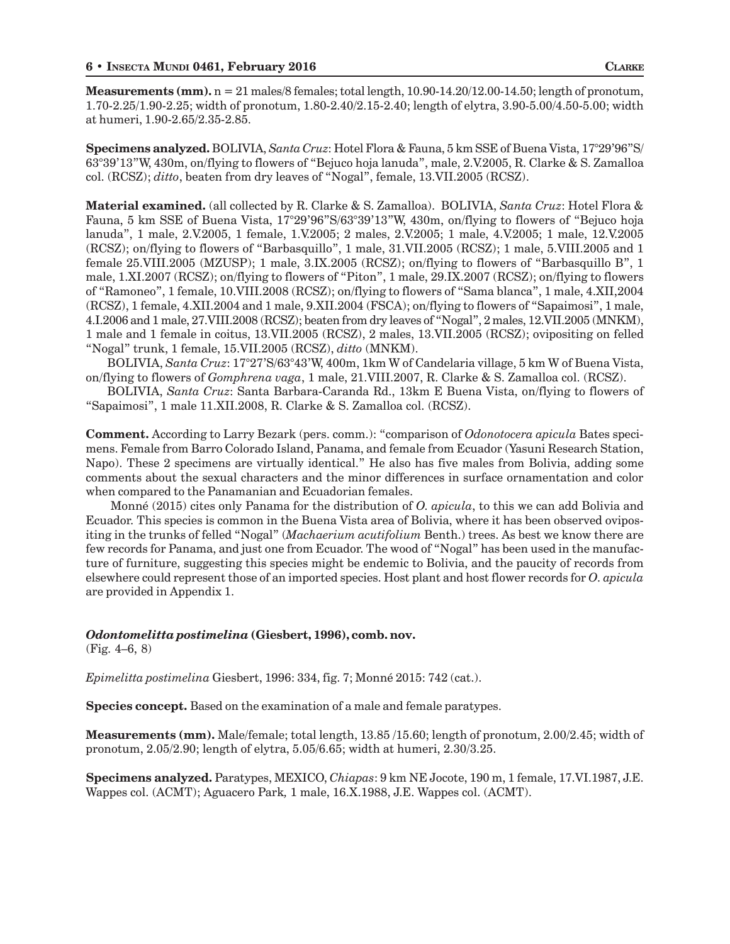**Measurements (mm).**  $n = 21$  males/8 females; total length,  $10.90-14.20/12.00-14.50$ ; length of pronotum, 1.70-2.25/1.90-2.25; width of pronotum, 1.80-2.40/2.15-2.40; length of elytra, 3.90-5.00/4.50-5.00; width at humeri, 1.90-2.65/2.35-2.85.

**Specimens analyzed.** BOLIVIA, *Santa Cruz*: Hotel Flora & Fauna, 5 km SSE of Buena Vista, 17°29'96"S/ 63°39'13"W, 430m, on/flying to flowers of "Bejuco hoja lanuda", male, 2.V.2005, R. Clarke & S. Zamalloa col. (RCSZ); *ditto*, beaten from dry leaves of "Nogal", female, 13.VII.2005 (RCSZ).

**Material examined.** (all collected by R. Clarke & S. Zamalloa). BOLIVIA, *Santa Cruz*: Hotel Flora & Fauna, 5 km SSE of Buena Vista, 17°29'96"S/63°39'13"W, 430m, on/flying to flowers of "Bejuco hoja lanuda", 1 male, 2.V.2005, 1 female, 1.V.2005; 2 males, 2.V.2005; 1 male, 4.V.2005; 1 male, 12.V.2005 (RCSZ); on/flying to flowers of "Barbasquillo", 1 male, 31.VII.2005 (RCSZ); 1 male, 5.VIII.2005 and 1 female 25.VIII.2005 (MZUSP); 1 male, 3.IX.2005 (RCSZ); on/flying to flowers of "Barbasquillo B", 1 male, 1.XI.2007 (RCSZ); on/flying to flowers of "Piton", 1 male, 29.IX.2007 (RCSZ); on/flying to flowers of "Ramoneo", 1 female, 10.VIII.2008 (RCSZ); on/flying to flowers of "Sama blanca", 1 male, 4.XII,2004 (RCSZ), 1 female, 4.XII.2004 and 1 male, 9.XII.2004 (FSCA); on/flying to flowers of "Sapaimosi", 1 male, 4.I.2006 and 1 male, 27.VIII.2008 (RCSZ); beaten from dry leaves of "Nogal", 2 males, 12.VII.2005 (MNKM), 1 male and 1 female in coitus, 13.VII.2005 (RCSZ), 2 males, 13.VII.2005 (RCSZ); ovipositing on felled "Nogal" trunk, 1 female, 15.VII.2005 (RCSZ), *ditto* (MNKM).

BOLIVIA, *Santa Cruz*: 17°27'S/63°43'W, 400m, 1km W of Candelaria village, 5 km W of Buena Vista, on/flying to flowers of *Gomphrena vaga*, 1 male, 21.VIII.2007, R. Clarke & S. Zamalloa col. (RCSZ).

BOLIVIA, *Santa Cruz*: Santa Barbara-Caranda Rd., 13km E Buena Vista, on/flying to flowers of "Sapaimosi", 1 male 11.XII.2008, R. Clarke & S. Zamalloa col. (RCSZ).

**Comment.** According to Larry Bezark (pers. comm.): "comparison of *Odonotocera apicula* Bates specimens. Female from Barro Colorado Island, Panama, and female from Ecuador (Yasuni Research Station, Napo). These 2 specimens are virtually identical." He also has five males from Bolivia, adding some comments about the sexual characters and the minor differences in surface ornamentation and color when compared to the Panamanian and Ecuadorian females.

 Monné (2015) cites only Panama for the distribution of *O. apicula*, to this we can add Bolivia and Ecuador. This species is common in the Buena Vista area of Bolivia, where it has been observed ovipositing in the trunks of felled "Nogal" (*Machaerium acutifolium* Benth.) trees. As best we know there are few records for Panama, and just one from Ecuador. The wood of "Nogal" has been used in the manufacture of furniture, suggesting this species might be endemic to Bolivia, and the paucity of records from elsewhere could represent those of an imported species. Host plant and host flower records for *O. apicula* are provided in Appendix 1.

#### *Odontomelitta postimelina* **(Giesbert, 1996), comb. nov.**

(Fig. 4–6, 8)

*Epimelitta postimelina* Giesbert, 1996: 334, fig. 7; Monné 2015: 742 (cat.).

**Species concept.** Based on the examination of a male and female paratypes.

**Measurements (mm).** Male/female; total length, 13.85 /15.60; length of pronotum, 2.00/2.45; width of pronotum, 2.05/2.90; length of elytra, 5.05/6.65; width at humeri, 2.30/3.25.

**Specimens analyzed.** Paratypes, MEXICO, *Chiapas*: 9 km NE Jocote, 190 m, 1 female, 17.VI.1987, J.E. Wappes col. (ACMT); Aguacero Park*,* 1 male, 16.X.1988, J.E. Wappes col. (ACMT).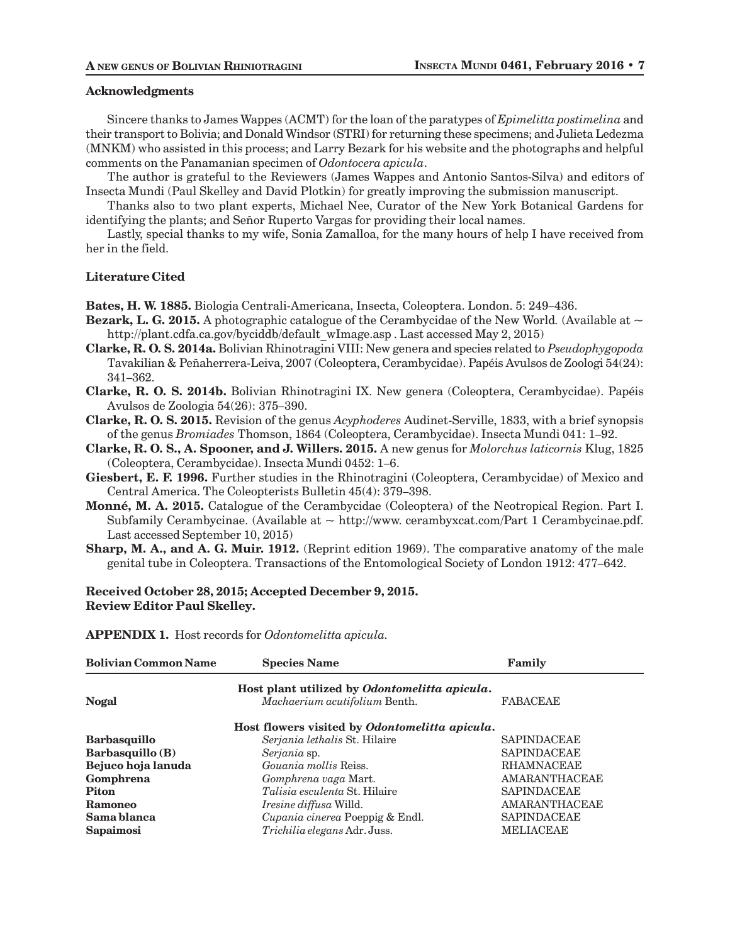#### **Acknowledgments**

Sincere thanks to James Wappes (ACMT) for the loan of the paratypes of *Epimelitta postimelina* and their transport to Bolivia; and Donald Windsor (STRI) for returning these specimens; and Julieta Ledezma (MNKM) who assisted in this process; and Larry Bezark for his website and the photographs and helpful comments on the Panamanian specimen of *Odontocera apicula*.

The author is grateful to the Reviewers (James Wappes and Antonio Santos-Silva) and editors of Insecta Mundi (Paul Skelley and David Plotkin) for greatly improving the submission manuscript.

Thanks also to two plant experts, Michael Nee, Curator of the New York Botanical Gardens for identifying the plants; and Señor Ruperto Vargas for providing their local names.

Lastly, special thanks to my wife, Sonia Zamalloa, for the many hours of help I have received from her in the field.

#### **Literature Cited**

**Bates, H. W. 1885.** Biologia Centrali-Americana, Insecta, Coleoptera. London. 5: 249–436.

- **Bezark, L. G. 2015.** A photographic catalogue of the Cerambycidae of the New World*.* (Available at ~ http://plant.cdfa.ca.gov/byciddb/default\_wImage.asp . Last accessed May 2, 2015)
- **Clarke, R. O. S. 2014a.** Bolivian Rhinotragini VIII: New genera and species related to *Pseudophygopoda* Tavakilian & Peñaherrera-Leiva, 2007 (Coleoptera, Cerambycidae). Papéis Avulsos de Zoologi 54(24): 341–362.
- **Clarke, R. O. S. 2014b.** Bolivian Rhinotragini IX. New genera (Coleoptera, Cerambycidae). Papéis Avulsos de Zoologia 54(26): 375–390.
- **Clarke, R. O. S. 2015.** Revision of the genus *Acyphoderes* Audinet-Serville, 1833, with a brief synopsis of the genus *Bromiades* Thomson, 1864 (Coleoptera, Cerambycidae). Insecta Mundi 041: 1–92.
- **Clarke, R. O. S., A. Spooner, and J. Willers. 2015.** A new genus for *Molorchus laticornis* Klug, 1825 (Coleoptera, Cerambycidae). Insecta Mundi 0452: 1–6.
- **Giesbert, E. F. 1996.** Further studies in the Rhinotragini (Coleoptera, Cerambycidae) of Mexico and Central America. The Coleopterists Bulletin 45(4): 379–398.
- **Monné, M. A. 2015.** Catalogue of the Cerambycidae (Coleoptera) of the Neotropical Region. Part I. Subfamily Cerambycinae. (Available at  $\sim$  http://www.cerambyxcat.com/Part 1 Cerambycinae.pdf. Last accessed September 10, 2015)
- **Sharp, M. A., and A. G. Muir. 1912.** (Reprint edition 1969). The comparative anatomy of the male genital tube in Coleoptera. Transactions of the Entomological Society of London 1912: 477–642.

#### **Received October 28, 2015; Accepted December 9, 2015. Review Editor Paul Skelley.**

**APPENDIX 1.** Host records for *Odontomelitta apicula.*

| <b>Bolivian Common Name</b> | <b>Species Name</b>                            | Family             |
|-----------------------------|------------------------------------------------|--------------------|
|                             | Host plant utilized by Odontomelitta apicula.  |                    |
| <b>Nogal</b>                | Machaerium acutifolium Benth.                  | <b>FABACEAE</b>    |
|                             | Host flowers visited by Odontomelitta apicula. |                    |
| <b>Barbasquillo</b>         | Serjania lethalis St. Hilaire                  | <b>SAPINDACEAE</b> |
| <b>Barbasquillo</b> (B)     | Serjania sp.                                   | <b>SAPINDACEAE</b> |
| Bejuco hoja lanuda          | Gouania mollis Reiss.                          | <b>RHAMNACEAE</b>  |
| Gomphrena                   | Gomphrena vaga Mart.                           | AMARANTHACEAE      |
| Piton                       | <i>Talisia esculenta</i> St. Hilaire           | <b>SAPINDACEAE</b> |
| Ramoneo                     | <i>Iresine diffusa</i> Willd.                  | AMARANTHACEAE      |
| Sama blanca                 | Cupania cinerea Poeppig & Endl.                | <b>SAPINDACEAE</b> |
| <b>Sapaimosi</b>            | <i>Trichilia elegans</i> Adr. Juss.            | <b>MELIACEAE</b>   |